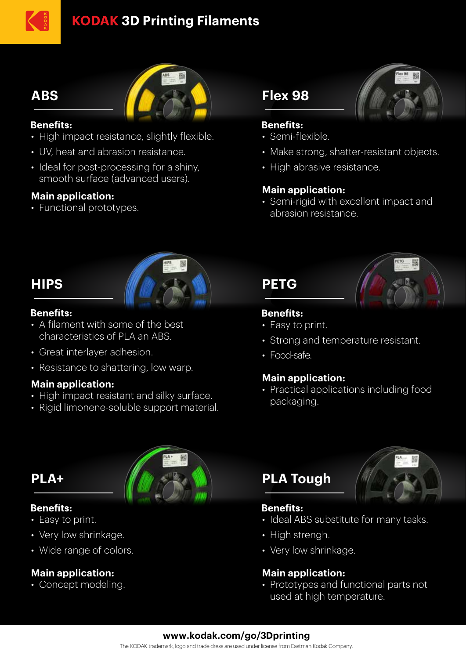# **KODAK 3D Printing Filaments**

# **ABS**



#### **Benefits:**

- High impact resistance, slightly flexible.
- UV, heat and abrasion resistance.
- Ideal for post-processing for a shiny, smooth surface (advanced users).

#### **Main application:**

• Functional prototypes.

## **HIPS**



#### **Benefits:**

- A filament with some of the best • characteristics of PLA an ABS.
- Great interlayer adhesion.
- Resistance to shattering, low warp.

#### **Main application:**

- High impact resistant and silky surface.
- Rigid limonene-soluble support material.

## **PLA+**

#### **Benefits:**

- Easy to print.
- Very low shrinkage.
- Wide range of colors.

### **Main application:**

• Concept modeling.



# **Flex 98**



#### **Benefits:**

- Semi-flexible.
- Make strong, shatter-resistant objects.
- High abrasive resistance.

#### **Main application:**

• Semi-rigid with excellent impact and • abrasion resistance.

# **PETG**



### **Benefits:**

- Easy to print.
- Strong and temperature resistant.
- Food-safe.

### **Main application:**

• Practical applications including food • packaging.

# **PLA Tough**



#### **Benefits:**

- Ideal ABS substitute for many tasks.
- High strengh.
- Very low shrinkage.

#### **Main application:**

• Prototypes and functional parts not used at high temperature.

#### **www.kodak.com/go/3Dprinting**